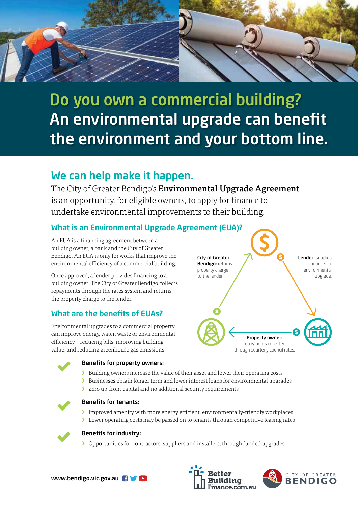

# Do you own a commercial building? An environmental upgrade can benefit the environment and your bottom line.

# We can help make it happen.

The City of Greater Bendigo's **Environmental Upgrade Agreement** is an opportunity, for eligible owners, to apply for finance to undertake environmental improvements to their building.

# What is an Environmental Upgrade Agreement (EUA)?

An EUA is a financing agreement between a building owner, a bank and the City of Greater Bendigo. An EUA is only for works that improve the environmental efficiency of a commercial building.

Once approved, a lender provides financing to a building owner. The City of Greater Bendigo collects repayments through the rates system and returns the property charge to the lender.

# What are the benefits of EUAs?

Environmental upgrades to a commercial property can improve energy, water, waste or environmental efficiency – reducing bills, improving building value, and reducing greenhouse gas emissions.





#### Benefits for property owners:

- › Building owners increase the value of their asset and lower their operating costs
- › Businesses obtain longer term and lower interest loans for environmental upgrades
- > Zero up-front capital and no additional security requirements



#### Benefits for tenants:

- › Improved amenity with more energy efficient, environmentally-friendly workplaces
- › Lower operating costs may be passed on to tenants through competitive leasing rates



#### Benefits for industry:

› Opportunities for contractors, suppliers and installers, through funded upgrades